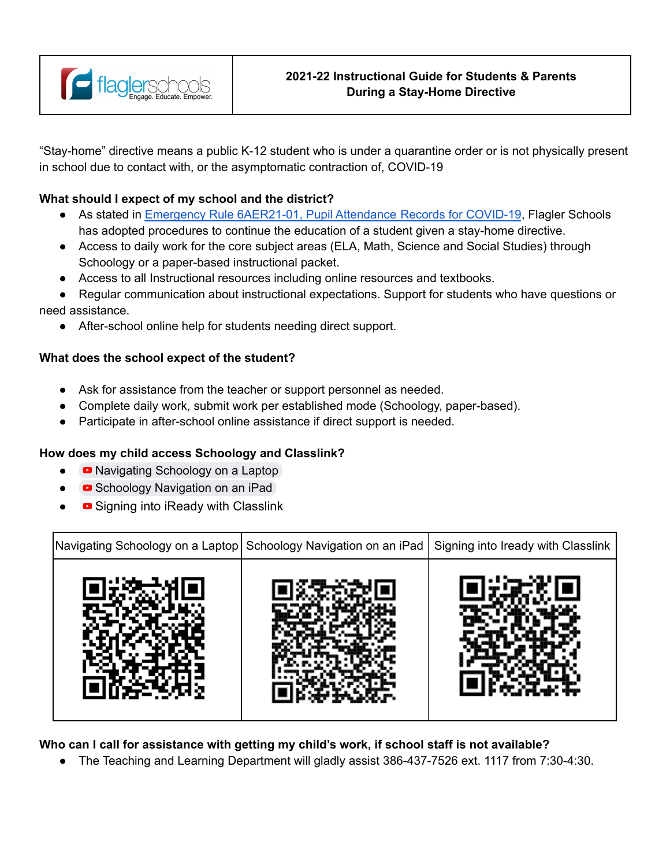

"Stay-home" directive means a public K-12 student who is under a quarantine order or is not physically present in school due to contact with, or the asymptomatic contraction of, COVID-19

## **What should I expect of my school and the district?**

- As stated in [Emergency Rule 6AER21-01, Pupil Attendance Records for COVID-19](https://flaglerschools.com/common/pages/DisplayFile.aspx?itemId=45277692), Flagler Schools has adopted procedures to continue the education of a student given a stay-home directive.
- Access to daily work for the core subject areas (ELA, Math, Science and Social Studies) through Schoology or a paper-based instructional packet.
- Access to all Instructional resources including online resources and textbooks.
- Regular communication about instructional expectations. Support for students who have questions or need assistance.
	- After-school online help for students needing direct support.

## **What does the school expect of the student?**

- Ask for assistance from the teacher or support personnel as needed.
- Complete daily work, submit work per established mode (Schoology, paper-based).
- Participate in after-school online assistance if direct support is needed.

## **How does my child access Schoology and Classlink?**

- [Navigating Schoology on a Laptop](https://www.youtube.com/watch?v=ud0-PXJ2JB4&ab_channel=TeresaPhillips)
- [Schoology Navigation on an iPad](https://www.youtube.com/watch?v=vDGJr70ZjEY&ab_channel=TeresaPhillips)
- [Signing into iReady with Classlink](https://youtu.be/h9vsuwmHB3M)



**Who can I call for assistance with getting my child's work, if school staff is not available?**

The Teaching and Learning Department will gladly assist 386-437-7526 ext. 1117 from 7:30-4:30.